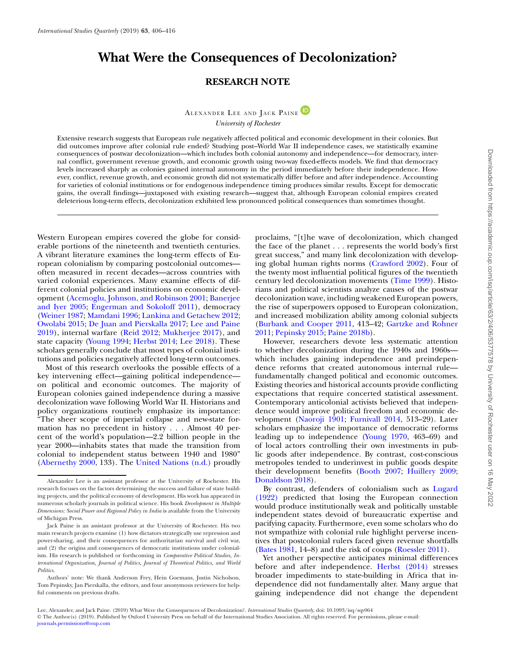# **What Were the Consequences of Decolonization?**

## **RESEARCH NOTE**

ALEXANDER LEE AND JACK PAINE

*University of Rochester*

Extensive research suggests that European rule negatively affected political and economic development in their colonies. But did outcomes improve after colonial rule ended? Studying post–World War II independence cases, we statistically examine consequences of postwar decolonization—which includes both colonial autonomy and independence—for democracy, internal conflict, government revenue growth, and economic growth using two-way fixed-effects models. We find that democracy levels increased sharply as colonies gained internal autonomy in the period immediately before their independence. However, conflict, revenue growth, and economic growth did not systematically differ before and after independence. Accounting for varieties of colonial institutions or for endogenous independence timing produces similar results. Except for democratic gains, the overall findings—juxtaposed with existing research—suggest that, although European colonial empires created deleterious long-term effects, decolonization exhibited less pronounced political consequences than sometimes thought.

Western European empires covered the globe for considerable portions of the nineteenth and twentieth centuries. A vibrant literature examines the long-term effects of European colonialism by comparing postcolonial outcomes often measured in recent decades—across countries with varied colonial experiences. Many examine effects of different colonial policies and institutions on economic devel[opment \(](#page-9-1)[Acemoglu, Johnson, and Robinson 2001](#page-9-0)[;](#page-9-1) Banerjee and Iyer 2005; [Engerman and Sokoloff 2011\)](#page-9-2), democracy [\(Weiner 1987;](#page-10-0) [Mamdani 1996;](#page-10-1) [Lankina and Getachew 2012;](#page-9-3) [Owolabi 2015;](#page-10-2) [De Juan and Pierskalla 2017;](#page-9-4) Lee and Paine [2019\), internal warfare \(Reid 2012;](#page-9-5) [Mukherjee 2017\)](#page-10-4), and state capacity [\(Young 1994;](#page-10-5) [Herbst 2014;](#page-9-6) [Lee 2018\)](#page-9-7). These scholars generally conclude that most types of colonial institutions and policies negatively affected long-term outcomes.

Most of this research overlooks the possible effects of a key intervening effect—gaining political independence on political and economic outcomes. The majority of European colonies gained independence during a massive decolonization wave following World War II. Historians and policy organizations routinely emphasize its importance: "The sheer scope of imperial collapse and new-state formation has no precedent in history . . . Almost 40 percent of the world's population—2.2 billion people in the year 2000—inhabits states that made the transition from colonial to independent status between 1940 and 1980" [\(Abernethy 2000,](#page-9-8) 133). The [United Nations \(n.d.\)](#page-10-6) proudly proclaims, "[t]he wave of decolonization, which changed the face of the planet . . . represents the world body's first great success," and many link decolonization with developing global human rights norms [\(Crawford 2002\)](#page-9-9). Four of the twenty most influential political figures of the twentieth century led decolonization movements [\(Time 1999\)](#page-10-7). Historians and political scientists analyze causes of the postwar decolonization wave, including weakened European powers, the rise of superpowers opposed to European colonization, and increased mobilization ability among colonial subjects [\(](#page-9-11)[Burbank and Cooper 2011](#page-9-10)[, 413–42;](#page-9-11) Gartzke and Rohner 2011; [Pepinsky 2015;](#page-10-8) [Paine 2018b\)](#page-10-9).

However, researchers devote less systematic attention to whether decolonization during the 1940s and 1960s which includes gaining independence and preindependence reforms that created autonomous internal rule fundamentally changed political and economic outcomes. Existing theories and historical accounts provide conflicting expectations that require concerted statistical assessment. Contemporary anticolonial activists believed that independence would improve political freedom and economic development [\(Naoroji 1901;](#page-10-10) [Furnivall 2014,](#page-9-12) 513–29). Later scholars emphasize the importance of democratic reforms leading up to independence [\(Young 1970,](#page-10-11) 463–69) and of local actors controlling their own investments in public goods after independence. By contrast, cost-conscious metropoles tended to underinvest in public goods despite their development benefits [\(Booth 2007;](#page-9-13) [Huillery 2009;](#page-9-14) [Donaldson 2018\)](#page-9-15).

By contrast, defenders of colonialism such as Lugard (1922) [predicted that losing the European connection](#page-10-12) would produce institutionally weak and politically unstable independent states devoid of bureaucratic expertise and pacifying capacity. Furthermore, even some scholars who do not sympathize with colonial rule highlight perverse incentives that postcolonial rulers faced given revenue shortfalls [\(Bates 1981,](#page-9-16) 14–8) and the risk of coups [\(Roessler 2011\)](#page-10-13).

Yet another perspective anticipates minimal differences before and after independence. [Herbst \(2014\)](#page-9-6) stresses broader impediments to state-building in Africa that independence did not fundamentally alter. Many argue that gaining independence did not change the dependent

Alexander Lee is an assistant professor at the University of Rochester. His research focuses on the factors determining the success and failure of state building projects, and the political economy of development. His work has appeared in numerous scholarly journals in political science. His book *Development in Multiple Dimensions: Social Power and Regional Policy in India* is available from the University of Michigan Press.

Jack Paine is an assistant professor at the University of Rochester. His two main research projects examine (1) how dictators strategically use repression and power-sharing, and their consequences for authoritarian survival and civil war, and (2) the origins and consequences of democratic institutions under colonialism. His research is published or forthcoming in *Comparative Political Studies, International Organization, Journal of Politics, Journal of Theoretical Politics, and World Politics*.

Authors' note: We thank Anderson Frey, Hein Goemans, Justin Nicholson, Tom Pepinsky, Jan Pierskalla, the editors, and four anonymous reviewers for helpful comments on previous drafts.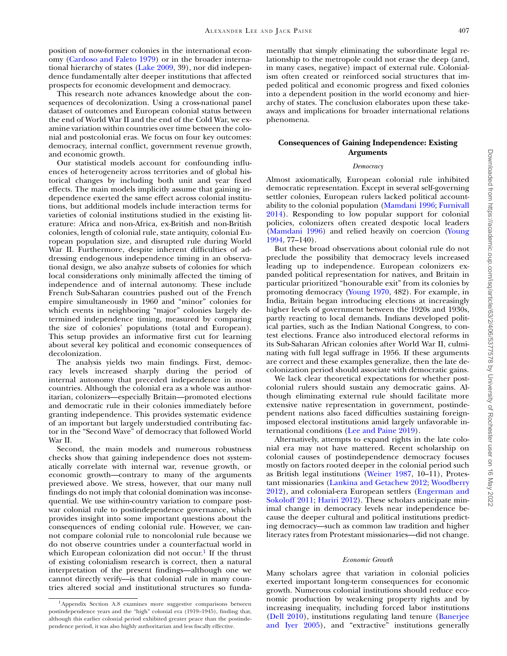position of now-former colonies in the international economy [\(Cardoso and Faleto 1979\)](#page-9-17) or in the broader international hierarchy of states [\(Lake 2009,](#page-9-18) 39), nor did independence fundamentally alter deeper institutions that affected prospects for economic development and democracy.

This research note advances knowledge about the consequences of decolonization. Using a cross-national panel dataset of outcomes and European colonial status between the end of World War II and the end of the Cold War, we examine variation within countries over time between the colonial and postcolonial eras. We focus on four key outcomes: democracy, internal conflict, government revenue growth, and economic growth.

Our statistical models account for confounding influences of heterogeneity across territories and of global historical changes by including both unit and year fixed effects. The main models implicitly assume that gaining independence exerted the same effect across colonial institutions, but additional models include interaction terms for varieties of colonial institutions studied in the existing literature: Africa and non-Africa, ex-British and non-British colonies, length of colonial rule, state antiquity, colonial European population size, and disrupted rule during World War II. Furthermore, despite inherent difficulties of addressing endogenous independence timing in an observational design, we also analyze subsets of colonies for which local considerations only minimally affected the timing of independence and of internal autonomy. These include French Sub-Saharan countries pushed out of the French empire simultaneously in 1960 and "minor" colonies for which events in neighboring "major" colonies largely determined independence timing, measured by comparing the size of colonies' populations (total and European). This setup provides an informative first cut for learning about several key political and economic consequences of decolonization.

The analysis yields two main findings. First, democracy levels increased sharply during the period of internal autonomy that preceded independence in most countries. Although the colonial era as a whole was authoritarian, colonizers—especially Britain—promoted elections and democratic rule in their colonies immediately before granting independence. This provides systematic evidence of an important but largely understudied contributing factor in the "Second Wave" of democracy that followed World War II.

Second, the main models and numerous robustness checks show that gaining independence does not systematically correlate with internal war, revenue growth, or economic growth—contrary to many of the arguments previewed above. We stress, however, that our many null findings do not imply that colonial domination was inconsequential. We use within-country variation to compare postwar colonial rule to postindependence governance, which provides insight into some important questions about the consequences of ending colonial rule. However, we cannot compare colonial rule to noncolonial rule because we do not observe countries under a counterfactual world in which European colonization did not occur.<sup>1</sup> If the thrust of existing colonialism research is correct, then a natural interpretation of the present findings—although one we cannot directly verify—is that colonial rule in many countries altered social and institutional structures so fundamentally that simply eliminating the subordinate legal relationship to the metropole could not erase the deep (and, in many cases, negative) impact of external rule. Colonialism often created or reinforced social structures that impeded political and economic progress and fixed colonies into a dependent position in the world economy and hierarchy of states. The conclusion elaborates upon these takeaways and implications for broader international relations phenomena.

## **Consequences of Gaining Independence: Existing Arguments**

## *Democracy*

Almost axiomatically, European colonial rule inhibited democratic representation. Except in several self-governing settler colonies, European rulers lacked political accountability to the colonial population [\(Mamdani 1996;](#page-10-1) Furnivall [2014\). Responding to low popular support for colonial](#page-9-12) policies, colonizers often created despotic local leaders [\(](#page-10-5)[Mamdani 1996](#page-10-1)[\) and relied heavily on coercion \(Young](#page-10-5) 1994, 77–140).

But these broad observations about colonial rule do not preclude the possibility that democracy levels increased leading up to independence. European colonizers expanded political representation for natives, and Britain in particular prioritized "honourable exit" from its colonies by promoting democracy [\(Young 1970,](#page-10-11) 482). For example, in India, Britain began introducing elections at increasingly higher levels of government between the 1920s and 1930s, partly reacting to local demands. Indians developed political parties, such as the Indian National Congress, to contest elections. France also introduced electoral reforms in its Sub-Saharan African colonies after World War II, culminating with full legal suffrage in 1956. If these arguments are correct and these examples generalize, then the late decolonization period should associate with democratic gains.

We lack clear theoretical expectations for whether postcolonial rulers should sustain any democratic gains. Although eliminating external rule should facilitate more extensive native representation in government, postindependent nations also faced difficulties sustaining foreignimposed electoral institutions amid largely unfavorable international conditions [\(Lee and Paine 2019\)](#page-9-5).

Alternatively, attempts to expand rights in the late colonial era may not have mattered. Recent scholarship on colonial causes of postindependence democracy focuses mostly on factors rooted deeper in the colonial period such as British legal institutions [\(Weiner 1987,](#page-10-0) 10–11), Protestant missionaries [\(Lankina and Getachew 2012;](#page-9-3) Woodberry [2012\), and colonial-era European settlers \(Engerman and](#page-10-14) Sokoloff 2011; [Hariri 2012\)](#page-9-19). These scholars anticipate minimal change in democracy levels near independence because the deeper cultural and political institutions predicting democracy—such as common law tradition and higher literacy rates from Protestant missionaries—did not change.

## *Economic Growth*

Many scholars agree that variation in colonial policies exerted important long-term consequences for economic growth. Numerous colonial institutions should reduce economic production by weakening property rights and by increasing inequality, including forced labor institutions [\(](#page-9-1)[Dell 2010](#page-9-20)[\), institutions regulating land tenure \(Banerjee](#page-9-1) and Iyer 2005), and "extractive" institutions generally

<span id="page-1-0"></span><sup>1</sup>Appendix Section A.8 examines more suggestive comparisons between postindependence years and the "high" colonial era (1919–1945), finding that, although this earlier colonial period exhibited greater peace than the postindependence period, it was also highly authoritarian and less fiscally effective.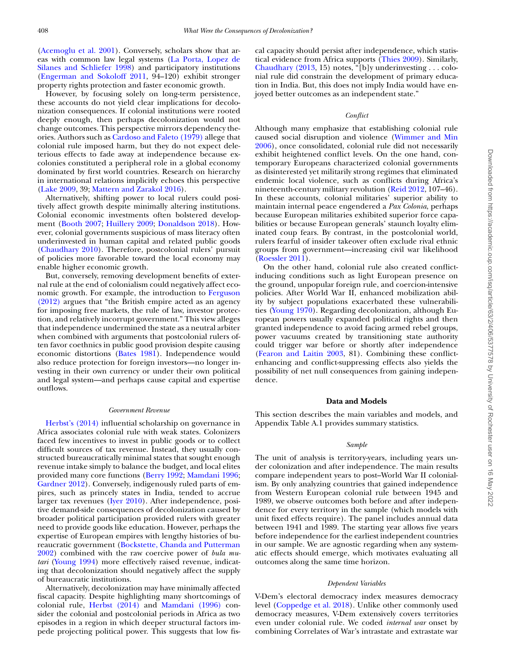[\(Acemoglu et al. 2001\)](#page-9-0). Conversely, scholars show that areas with common law legal systems (La Porta, Lopez de [Silanes and Schliefer 1998\) and participatory institutions](#page-9-21) [\(Engerman and Sokoloff 2011,](#page-9-2) 94–120) exhibit stronger property rights protection and faster economic growth.

However, by focusing solely on long-term persistence, these accounts do not yield clear implications for decolonization consequences. If colonial institutions were rooted deeply enough, then perhaps decolonization would not change outcomes. This perspective mirrors dependency theories. Authors such as [Cardoso and Faleto \(1979\)](#page-9-17) allege that colonial rule imposed harm, but they do not expect deleterious effects to fade away at independence because excolonies constituted a peripheral role in a global economy dominated by first world countries. Research on hierarchy in international relations implicitly echoes this perspective [\(Lake 2009,](#page-9-18) 39; [Mattern and Zarakol 2016\)](#page-10-15).

Alternatively, shifting power to local rulers could positively affect growth despite minimally altering institutions. Colonial economic investments often bolstered development [\(Booth 2007;](#page-9-13) [Huillery 2009;](#page-9-14) [Donaldson 2018\)](#page-9-15). However, colonial governments suspicious of mass literacy often underinvested in human capital and related public goods [\(Chaudhary 2010\)](#page-9-22). Therefore, postcolonial rulers' pursuit of policies more favorable toward the local economy may enable higher economic growth.

But, conversely, removing development benefits of external rule at the end of colonialism could negatively affect economic growth. For example, the introduction to Ferguson (2012) [argues that "the British empire acted as an agency](#page-9-23) for imposing free markets, the rule of law, investor protection, and relatively incorrupt government." This view alleges that independence undermined the state as a neutral arbiter when combined with arguments that postcolonial rulers often favor coethnics in public good provision despite causing economic distortions [\(Bates 1981\)](#page-9-16). Independence would also reduce protection for foreign investors—no longer investing in their own currency or under their own political and legal system—and perhaps cause capital and expertise outflows.

#### *Government Revenue*

[Herbst's \(2014\)](#page-9-6) influential scholarship on governance in Africa associates colonial rule with weak states. Colonizers faced few incentives to invest in public goods or to collect difficult sources of tax revenue. Instead, they usually constructed bureaucratically minimal states that sought enough revenue intake simply to balance the budget, and local elites provided many core functions [\(Berry 1992;](#page-9-24) [Mamdani 1996;](#page-10-1) [Gardner 2012\)](#page-9-25). Conversely, indigenously ruled parts of empires, such as princely states in India, tended to accrue larger tax revenues [\(Iyer 2010\)](#page-9-26). After independence, positive demand-side consequences of decolonization caused by broader political participation provided rulers with greater need to provide goods like education. However, perhaps the expertise of European empires with lengthy histories of bu[reaucratic government \(Bockstette, Chanda and Putterman](#page-9-27) 2002) combined with the raw coercive power of *bula mutari* [\(Young 1994\)](#page-10-5) more effectively raised revenue, indicating that decolonization should negatively affect the supply of bureaucratic institutions.

Alternatively, decolonization may have minimally affected fiscal capacity. Despite highlighting many shortcomings of colonial rule, [Herbst \(2014\)](#page-9-6) and [Mamdani \(1996\)](#page-10-1) consider the colonial and postcolonial periods in Africa as two episodes in a region in which deeper structural factors impede projecting political power. This suggests that low fis-

cal capacity should persist after independence, which statistical evidence from Africa supports [\(Thies 2009\)](#page-10-16). Similarly, Chaudhary  $(2013, 15)$  notes, "[b]y underinvesting . . . colonial rule did constrain the development of primary education in India. But, this does not imply India would have enjoyed better outcomes as an independent state."

## *Conflict*

Although many emphasize that establishing colonial rule caused social disruption and violence (Wimmer and Min [2006\), once consolidated, colonial rule did not necessarily](#page-10-17) exhibit heightened conflict levels. On the one hand, contemporary Europeans characterized colonial governments as disinterested yet militarily strong regimes that eliminated endemic local violence, such as conflicts during Africa's nineteenth-century military revolution [\(Reid 2012,](#page-10-3) 107–46). In these accounts, colonial militaries' superior ability to maintain internal peace engendered a *Pax Colonia*, perhaps because European militaries exhibited superior force capabilities or because European generals' staunch loyalty eliminated coup fears. By contrast, in the postcolonial world, rulers fearful of insider takeover often exclude rival ethnic groups from government—increasing civil war likelihood [\(Roessler 2011\)](#page-10-13).

On the other hand, colonial rule also created conflictinducing conditions such as light European presence on the ground, unpopular foreign rule, and coercion-intensive policies. After World War II, enhanced mobilization ability by subject populations exacerbated these vulnerabilities [\(Young 1970\)](#page-10-11). Regarding decolonization, although European powers usually expanded political rights and then granted independence to avoid facing armed rebel groups, power vacuums created by transitioning state authority could trigger war before or shortly after independence [\(Fearon and Laitin 2003,](#page-9-29) 81). Combining these conflictenhancing and conflict-suppressing effects also yields the possibility of net null consequences from gaining independence.

#### **Data and Models**

This section describes the main variables and models, and Appendix Table A.1 provides summary statistics.

#### *Sample*

The unit of analysis is territory-years, including years under colonization and after independence. The main results compare independent years to post–World War II colonialism. By only analyzing countries that gained independence from Western European colonial rule between 1945 and 1989, we observe outcomes both before and after independence for every territory in the sample (which models with unit fixed effects require). The panel includes annual data between 1941 and 1989. The starting year allows five years before independence for the earliest independent countries in our sample. We are agnostic regarding when any systematic effects should emerge, which motivates evaluating all outcomes along the same time horizon.

## *Dependent Variables*

V-Dem's electoral democracy index measures democracy level [\(Coppedge et al. 2018\)](#page-9-30). Unlike other commonly used democracy measures, V-Dem extensively covers territories even under colonial rule. We coded *internal war* onset by combining Correlates of War's intrastate and extrastate war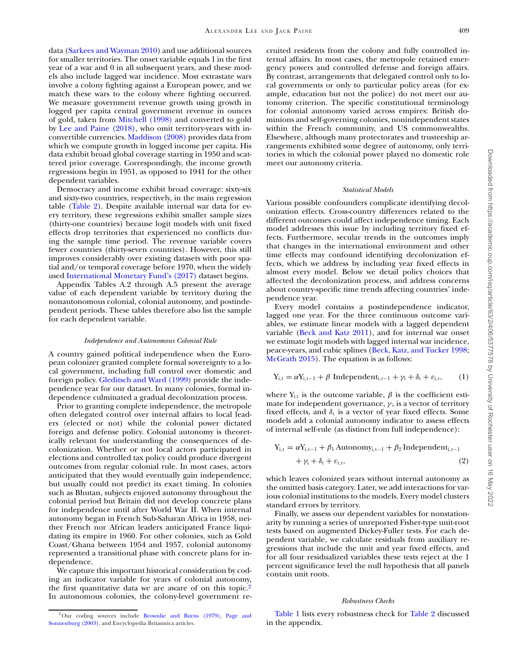data [\(Sarkees and Wayman 2010\)](#page-10-18) and use additional sources for smaller territories. The onset variable equals 1 in the first year of a war and 0 in all subsequent years, and these models also include lagged war incidence. Most extrastate wars involve a colony fighting against a European power, and we match these wars to the colony where fighting occurred. We measure government revenue growth using growth in logged per capita central government revenue in ounces of gold, taken from [Mitchell \(1998\)](#page-10-19) and converted to gold by [Lee and Paine \(2018\),](#page-9-31) who omit territory-years with inconvertible currencies. [Maddison \(2008\)](#page-10-20) provides data from which we compute growth in logged income per capita. His data exhibit broad global coverage starting in 1950 and scattered prior coverage. Correspondingly, the income growth regressions begin in 1951, as opposed to 1941 for the other dependent variables.

Democracy and income exhibit broad coverage: sixty-six and sixty-two countries, respectively, in the main regression table [\(Table 2\)](#page-5-0). Despite available internal war data for every territory, these regressions exhibit smaller sample sizes (thirty-one countries) because logit models with unit fixed effects drop territories that experienced no conflicts during the sample time period. The revenue variable covers fewer countries (thirty-seven countries). However, this still improves considerably over existing datasets with poor spatial and/or temporal coverage before 1970, when the widely used [International Monetary Fund's \(2017\)](#page-9-32) dataset begins.

Appendix Tables A.2 through A.5 present the average value of each dependent variable by territory during the nonautonomous colonial, colonial autonomy, and postindependent periods. These tables therefore also list the sample for each dependent variable.

## *Independence and Autonomous Colonial Rule*

A country gained political independence when the European colonizer granted complete formal sovereignty to a local government, including full control over domestic and foreign policy. [Gleditsch and Ward \(1999\)](#page-9-33) provide the independence year for our dataset. In many colonies, formal independence culminated a gradual decolonization process.

Prior to granting complete independence, the metropole often delegated control over internal affairs to local leaders (elected or not) while the colonial power dictated foreign and defense policy. Colonial autonomy is theoretically relevant for understanding the consequences of decolonization. Whether or not local actors participated in elections and controlled tax policy could produce divergent outcomes from regular colonial rule. In most cases, actors anticipated that they would eventually gain independence, but usually could not predict its exact timing. In colonies such as Bhutan, subjects enjoyed autonomy throughout the colonial period but Britain did not develop concrete plans for independence until after World War II. When internal autonomy began in French Sub-Saharan Africa in 1958, neither French nor African leaders anticipated France liquidating its empire in 1960. For other colonies, such as Gold Coast/Ghana between 1954 and 1957, colonial autonomy represented a transitional phase with concrete plans for independence.

We capture this important historical consideration by coding an indicator variable for years of colonial autonomy, the first quantitative data we are aware of on this topic.<sup>2</sup> In autonomous colonies, the colony-level government recruited residents from the colony and fully controlled internal affairs. In most cases, the metropole retained emergency powers and controlled defense and foreign affairs. By contrast, arrangements that delegated control only to local governments or only to particular policy areas (for example, education but not the police) do not meet our autonomy criterion. The specific constitutional terminology for colonial autonomy varied across empires: British dominions and self-governing colonies, nonindependent states within the French community, and US commonwealths. Elsewhere, although many protectorates and trusteeship arrangements exhibited some degree of autonomy, only territories in which the colonial power played no domestic role meet our autonomy criteria.

## *Statistical Models*

Various possible confounders complicate identifying decolonization effects. Cross-country differences related to the different outcomes could affect independence timing. Each model addresses this issue by including territory fixed effects. Furthermore, secular trends in the outcomes imply that changes in the international environment and other time effects may confound identifying decolonization effects, which we address by including year fixed effects in almost every model. Below we detail policy choices that affected the decolonization process, and address concerns about country-specific time trends affecting countries' independence year.

Every model contains a postindependence indicator, lagged one year. For the three continuous outcome variables, we estimate linear models with a lagged dependent variable (Beck and Katz  $2011$ ), and for internal war onset we estimate logit models with lagged internal war incidence, peace-years, and cubic splines [\(Beck, Katz, and Tucker 1998;](#page-9-36) [McGrath 2015\)](#page-10-22). The equation is as follows:

$$
Y_{i,t} = \alpha Y_{i,t-1} + \beta \; Independent_{i,t-1} + \gamma_i + \delta_t + \epsilon_{i,t}, \qquad (1)
$$

where  $Y_{i,t}$  is the outcome variable,  $\beta$  is the coefficient estimate for independent governance,  $\gamma_i$  is a vector of territory fixed effects, and  $\delta_t$  is a vector of year fixed effects. Some models add a colonial autonomy indicator to assess effects of internal self-rule (as distinct from full independence):

$$
Y_{i,t} = \alpha Y_{i,t-1} + \beta_1 \text{Autonomy}_{i,t-1} + \beta_2 \text{Independent}_{i,t-1} + \gamma_i + \delta_t + \varepsilon_{i,t},
$$
\n(2)

which leaves colonized years without internal autonomy as the omitted basis category. Later, we add interactions for various colonial institutions to the models. Every model clusters standard errors by territory.

Finally, we assess our dependent variables for nonstationarity by running a series of unreported Fisher-type unit-root tests based on augmented Dickey-Fuller tests. For each dependent variable, we calculate residuals from auxiliary regressions that include the unit and year fixed effects, and for all four residualized variables these tests reject at the 1 percent significance level the null hypothesis that all panels contain unit roots.

## *Robustness Checks*

[Table 1](#page-4-0) lists every robustness check for [Table 2](#page-5-0) discussed in the appendix.

<span id="page-3-0"></span><sup>2</sup> Our coding sources include [Brownlie and Burns \(1979\),](#page-9-34) Page and [Sonnenburg \(2003\), and Encyclopedia Britannica articles.](#page-10-21)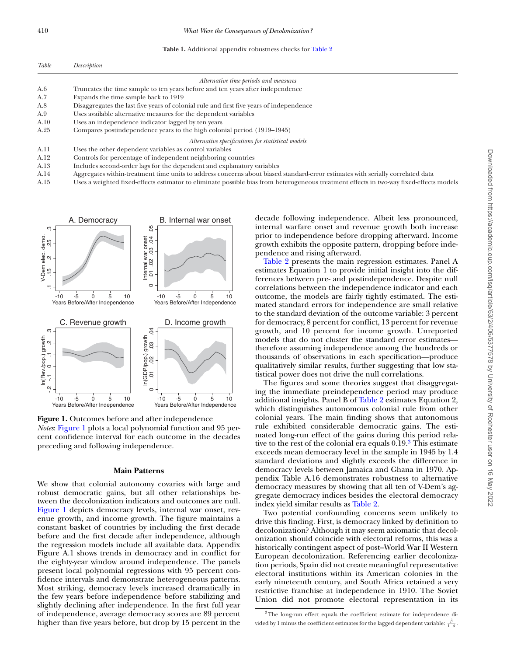<span id="page-4-0"></span>

| Table | Description                                                                                                                             |
|-------|-----------------------------------------------------------------------------------------------------------------------------------------|
|       | Alternative time periods and measures                                                                                                   |
| A.6   | Truncates the time sample to ten years before and ten years after independence                                                          |
| A.7   | Expands the time sample back to 1919                                                                                                    |
| A.8   | Disaggregates the last five years of colonial rule and first five years of independence                                                 |
| A.9   | Uses available alternative measures for the dependent variables                                                                         |
| A.10  | Uses an independence indicator lagged by ten years                                                                                      |
| A.25  | Compares postindependence years to the high colonial period (1919–1945)                                                                 |
|       | Alternative specifications for statistical models                                                                                       |
| A.11  | Uses the other dependent variables as control variables                                                                                 |
| A.12  | Controls for percentage of independent neighboring countries                                                                            |
| A.13  | Includes second-order lags for the dependent and explanatory variables                                                                  |
| A.14  | Aggregates within-treatment time units to address concerns about biased standard-error estimates with serially correlated data          |
| A.15  | Uses a weighted fixed-effects estimator to eliminate possible bias from heterogeneous treatment effects in two-way fixed-effects models |

<span id="page-4-1"></span>

**Figure 1.** Outcomes before and after independence *Notes*: [Figure 1](#page-4-1) plots a local polynomial function and 95 percent confidence interval for each outcome in the decades preceding and following independence.

## **Main Patterns**

We show that colonial autonomy covaries with large and robust democratic gains, but all other relationships between the decolonization indicators and outcomes are null. [Figure 1](#page-4-1) depicts democracy levels, internal war onset, revenue growth, and income growth. The figure maintains a constant basket of countries by including the first decade before and the first decade after independence, although the regression models include all available data. Appendix Figure A.1 shows trends in democracy and in conflict for the eighty-year window around independence. The panels present local polynomial regressions with 95 percent confidence intervals and demonstrate heterogeneous patterns. Most striking, democracy levels increased dramatically in the few years before independence before stabilizing and slightly declining after independence. In the first full year of independence, average democracy scores are 89 percent higher than five years before, but drop by 15 percent in the decade following independence. Albeit less pronounced, internal warfare onset and revenue growth both increase prior to independence before dropping afterward. Income growth exhibits the opposite pattern, dropping before independence and rising afterward.

[Table 2](#page-5-0) presents the main regression estimates. Panel A estimates Equation 1 to provide initial insight into the differences between pre- and postindependence. Despite null correlations between the independence indicator and each outcome, the models are fairly tightly estimated. The estimated standard errors for independence are small relative to the standard deviation of the outcome variable: 3 percent for democracy, 8 percent for conflict, 13 percent for revenue growth, and 10 percent for income growth. Unreported models that do not cluster the standard error estimates therefore assuming independence among the hundreds or thousands of observations in each specification—produce qualitatively similar results, further suggesting that low statistical power does not drive the null correlations.

The figures and some theories suggest that disaggregating the immediate preindependence period may produce additional insights. Panel B of [Table 2](#page-5-0) estimates Equation 2, which distinguishes autonomous colonial rule from other colonial years. The main finding shows that autonomous rule exhibited considerable democratic gains. The estimated long-run effect of the gains during this period relative to the rest of the colonial era equals  $0.19<sup>3</sup>$ . This estimate exceeds mean democracy level in the sample in 1945 by 1.4 standard deviations and slightly exceeds the difference in democracy levels between Jamaica and Ghana in 1970. Appendix Table A.16 demonstrates robustness to alternative democracy measures by showing that all ten of V-Dem's aggregate democracy indices besides the electoral democracy index yield similar results as [Table 2.](#page-5-0)

Two potential confounding concerns seem unlikely to drive this finding. First, is democracy linked by definition to decolonization? Although it may seem axiomatic that decolonization should coincide with electoral reforms, this was a historically contingent aspect of post–World War II Western European decolonization. Referencing earlier decolonization periods, Spain did not create meaningful representative electoral institutions within its American colonies in the early nineteenth century, and South Africa retained a very restrictive franchise at independence in 1910. The Soviet Union did not promote electoral representation in its

<span id="page-4-2"></span><sup>3</sup>The long-run effect equals the coefficient estimate for independence divided by 1 minus the coefficient estimates for the lagged dependent variable:  $\frac{\hat{\beta}}{1-\hat{a}}$ .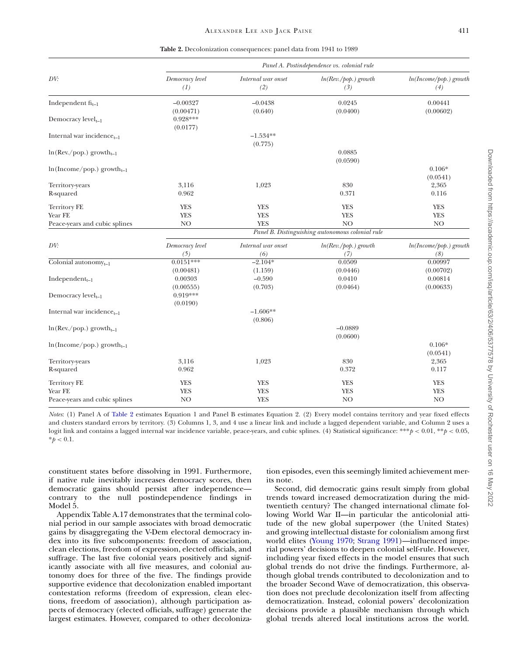<span id="page-5-0"></span>

|                                         | Panel A. Postindependence vs. colonial rule      |                           |                               |                                 |  |  |
|-----------------------------------------|--------------------------------------------------|---------------------------|-------------------------------|---------------------------------|--|--|
| DV:                                     | Democracy level<br>(1)                           | Internal war onset<br>(2) | $ln(Rev./pop.)$ growth<br>(3) | $ln(Income/pop.)$ growth<br>(4) |  |  |
| Independent $fi_{t-1}$                  | $-0.00327$                                       | $-0.0438$                 | 0.0245                        | 0.00441                         |  |  |
|                                         | (0.00471)                                        | (0.640)                   | (0.0400)                      | (0.00602)                       |  |  |
| Democracy $level_{t-1}$                 | $0.928***$                                       |                           |                               |                                 |  |  |
|                                         | (0.0177)                                         |                           |                               |                                 |  |  |
| Internal war incidence $_{t-1}$         |                                                  | $-1.534**$                |                               |                                 |  |  |
|                                         |                                                  | (0.775)                   |                               |                                 |  |  |
| $ln(Rev./pop.)$ growth <sub>t-1</sub>   |                                                  |                           | 0.0885                        |                                 |  |  |
|                                         |                                                  |                           | (0.0590)                      |                                 |  |  |
| $ln(Income/pop.)$ growth <sub>t-1</sub> |                                                  |                           |                               | $0.106*$                        |  |  |
|                                         |                                                  |                           |                               | (0.0541)                        |  |  |
| Territory-years                         | 3,116                                            | 1,023                     | 830                           | 2,365                           |  |  |
| R-squared                               | 0.962                                            |                           | 0.371                         | 0.116                           |  |  |
| <b>Territory FE</b>                     | <b>YES</b>                                       | <b>YES</b>                | <b>YES</b>                    | <b>YES</b>                      |  |  |
| Year FE                                 | <b>YES</b>                                       | <b>YES</b>                | <b>YES</b>                    | <b>YES</b>                      |  |  |
| Peace-years and cubic splines           | NO                                               | <b>YES</b>                | NO                            | $\rm NO$                        |  |  |
|                                         | Panel B. Distinguishing autonomous colonial rule |                           |                               |                                 |  |  |
| DV:                                     | Democracy level                                  | Internal war onset        | $ln(Rev./pop.)$ growth        | In(Income/pop.) growth          |  |  |
|                                         | (5)                                              | (6)                       | (7)                           | (8)                             |  |  |
| Colonial autonomy $_{t-1}$              | $0.0151***$                                      | $-2.104*$                 | 0.0509                        | 0.00997                         |  |  |
|                                         | (0.00481)                                        | (1.159)                   | (0.0446)                      | (0.00702)                       |  |  |
| Independent $_{t-1}$                    | 0.00303                                          | $-0.590$                  | 0.0410                        | 0.00814                         |  |  |
|                                         | (0.00555)                                        | (0.703)                   | (0.0464)                      | (0.00633)                       |  |  |
| Democracy $level_{t-1}$                 | 0.919***                                         |                           |                               |                                 |  |  |
|                                         | (0.0190)                                         |                           |                               |                                 |  |  |
| Internal war incidence <sub>t-1</sub>   |                                                  | $-1.606**$                |                               |                                 |  |  |
|                                         |                                                  | (0.806)                   |                               |                                 |  |  |
| $ln(Rev./pop.)$ growth <sub>t-1</sub>   |                                                  |                           | $-0.0889$                     |                                 |  |  |
|                                         |                                                  |                           | (0.0600)                      |                                 |  |  |
| $ln(Income/pop.)$ growth <sub>t-1</sub> |                                                  |                           |                               | $0.106*$                        |  |  |
|                                         |                                                  |                           |                               | (0.0541)                        |  |  |
| Territory-years                         | 3,116                                            | 1,023                     | 830                           | 2,365                           |  |  |
| R-squared                               | 0.962                                            |                           | 0.372                         | 0.117                           |  |  |
| <b>Territory FE</b>                     | <b>YES</b>                                       | <b>YES</b>                | <b>YES</b>                    | <b>YES</b>                      |  |  |
| Year FE                                 | <b>YES</b>                                       | <b>YES</b>                | <b>YES</b>                    | <b>YES</b>                      |  |  |
| Peace-years and cubic splines           | NO                                               | <b>YES</b>                | NO                            | NO                              |  |  |

**Table 2.** Decolonization consequences: panel data from 1941 to 1989

*Notes*: (1) Panel A of [Table 2](#page-5-0) estimates Equation 1 and Panel B estimates Equation 2. (2) Every model contains territory and year fixed effects and clusters standard errors by territory. (3) Columns 1, 3, and 4 use a linear link and include a lagged dependent variable, and Column 2 uses a logit link and contains a lagged internal war incidence variable, peace-years, and cubic splines. (4) Statistical significance: \*\*\**p* < 0.01, \*\**p* < 0.05,  $* p < 0.1$ .

constituent states before dissolving in 1991. Furthermore, if native rule inevitably increases democracy scores, then democratic gains should persist after independence contrary to the null postindependence findings in Model 5.

Appendix Table A.17 demonstrates that the terminal colonial period in our sample associates with broad democratic gains by disaggregating the V-Dem electoral democracy index into its five subcomponents: freedom of association, clean elections, freedom of expression, elected officials, and suffrage. The last five colonial years positively and significantly associate with all five measures, and colonial autonomy does for three of the five. The findings provide supportive evidence that decolonization enabled important contestation reforms (freedom of expression, clean elections, freedom of association), although participation aspects of democracy (elected officials, suffrage) generate the largest estimates. However, compared to other decoloniza-

tion episodes, even this seemingly limited achievement merits note.

Second, did democratic gains result simply from global trends toward increased democratization during the midtwentieth century? The changed international climate following World War II—in particular the anticolonial attitude of the new global superpower (the United States) and growing intellectual distaste for colonialism among first world elites [\(Young 1970;](#page-10-11) [Strang 1991\)](#page-10-23)—influenced imperial powers' decisions to deepen colonial self-rule. However, including year fixed effects in the model ensures that such global trends do not drive the findings. Furthermore, although global trends contributed to decolonization and to the broader Second Wave of democratization, this observation does not preclude decolonization itself from affecting democratization. Instead, colonial powers' decolonization decisions provide a plausible mechanism through which global trends altered local institutions across the world.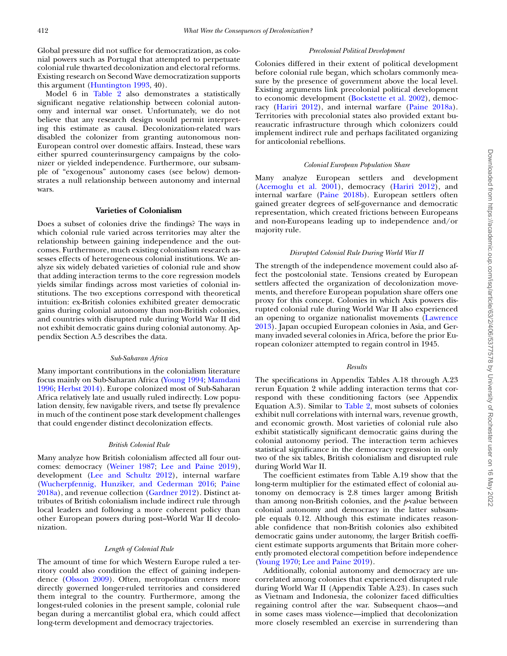Global pressure did not suffice for democratization, as colonial powers such as Portugal that attempted to perpetuate colonial rule thwarted decolonization and electoral reforms. Existing research on Second Wave democratization supports this argument [\(Huntington 1993,](#page-9-37) 40).

Model 6 in [Table 2](#page-5-0) also demonstrates a statistically significant negative relationship between colonial autonomy and internal war onset. Unfortunately, we do not believe that any research design would permit interpreting this estimate as causal. Decolonization-related wars disabled the colonizer from granting autonomous non-European control over domestic affairs. Instead, these wars either spurred counterinsurgency campaigns by the colonizer or yielded independence. Furthermore, our subsample of "exogenous" autonomy cases (see below) demonstrates a null relationship between autonomy and internal wars.

## **Varieties of Colonialism**

Does a subset of colonies drive the findings? The ways in which colonial rule varied across territories may alter the relationship between gaining independence and the outcomes. Furthermore, much existing colonialism research assesses effects of heterogeneous colonial institutions. We analyze six widely debated varieties of colonial rule and show that adding interaction terms to the core regression models yields similar findings across most varieties of colonial institutions. The two exceptions correspond with theoretical intuition: ex-British colonies exhibited greater democratic gains during colonial autonomy than non-British colonies, and countries with disrupted rule during World War II did not exhibit democratic gains during colonial autonomy. Appendix Section A.5 describes the data.

## *Sub-Saharan Africa*

Many important contributions in the colonialism literature focus mainly on Sub-Saharan Africa [\(Young 1994;](#page-10-5) Mamdani 1996; [Herbst 2014\). Europe colonized most of Sub-Saharan](#page-10-1) Africa relatively late and usually ruled indirectly. Low population density, few navigable rivers, and tsetse fly prevalence in much of the continent pose stark development challenges that could engender distinct decolonization effects.

## *British Colonial Rule*

Many analyze how British colonialism affected all four outcomes: democracy [\(Weiner 1987;](#page-10-0) [Lee and Paine 2019\)](#page-9-5), development [\(Lee and Schultz 2012\)](#page-9-38), internal warfare [\(Wucherpfennig, Hunziker, and Cederman 2016;](#page-10-24) Paine [2018a\), and revenue collection \(Gardner 2012\). Distinct at](#page-10-25)tributes of British colonialism include indirect rule through local leaders and following a more coherent policy than other European powers during post–World War II decolonization.

## *Length of Colonial Rule*

The amount of time for which Western Europe ruled a territory could also condition the effect of gaining independence [\(Olsson 2009\)](#page-10-26). Often, metropolitan centers more directly governed longer-ruled territories and considered them integral to the country. Furthermore, among the longest-ruled colonies in the present sample, colonial rule began during a mercantilist global era, which could affect long-term development and democracy trajectories.

## *Precolonial Political Development*

Colonies differed in their extent of political development before colonial rule began, which scholars commonly measure by the presence of government above the local level. Existing arguments link precolonial political development to economic development [\(Bockstette et al. 2002\)](#page-9-27), democracy [\(Hariri 2012\)](#page-9-19), and internal warfare [\(Paine 2018a\)](#page-10-25). Territories with precolonial states also provided extant bureaucratic infrastructure through which colonizers could implement indirect rule and perhaps facilitated organizing for anticolonial rebellions.

## *Colonial European Population Share*

Many analyze European settlers and development [\(Acemoglu et al. 2001\)](#page-9-0), democracy [\(Hariri 2012\)](#page-9-19), and internal warfare [\(Paine 2018b\)](#page-10-9). European settlers often gained greater degrees of self-governance and democratic representation, which created frictions between Europeans and non-Europeans leading up to independence and/or majority rule.

#### *Disrupted Colonial Rule During World War II*

The strength of the independence movement could also affect the postcolonial state. Tensions created by European settlers affected the organization of decolonization movements, and therefore European population share offers one proxy for this concept. Colonies in which Axis powers disrupted colonial rule during World War II also experienced [an opening to organize nationalist movements \(Lawrence](#page-9-39) 2013). Japan occupied European colonies in Asia, and Germany invaded several colonies in Africa, before the prior European colonizer attempted to regain control in 1945.

## *Results*

The specifications in Appendix Tables A.18 through A.23 rerun Equation 2 while adding interaction terms that correspond with these conditioning factors (see Appendix Equation A.3). Similar to [Table 2,](#page-5-0) most subsets of colonies exhibit null correlations with internal wars, revenue growth, and economic growth. Most varieties of colonial rule also exhibit statistically significant democratic gains during the colonial autonomy period. The interaction term achieves statistical significance in the democracy regression in only two of the six tables, British colonialism and disrupted rule during World War II.

The coefficient estimates from Table A.19 show that the long-term multiplier for the estimated effect of colonial autonomy on democracy is 2.8 times larger among British than among non-British colonies, and the *p*-value between colonial autonomy and democracy in the latter subsample equals 0.12. Although this estimate indicates reasonable confidence that non-British colonies also exhibited democratic gains under autonomy, the larger British coefficient estimate supports arguments that Britain more coherently promoted electoral competition before independence [\(Young 1970;](#page-10-11) [Lee and Paine 2019\)](#page-9-5).

Additionally, colonial autonomy and democracy are uncorrelated among colonies that experienced disrupted rule during World War II (Appendix Table A.23). In cases such as Vietnam and Indonesia, the colonizer faced difficulties regaining control after the war. Subsequent chaos—and in some cases mass violence—implied that decolonization more closely resembled an exercise in surrendering than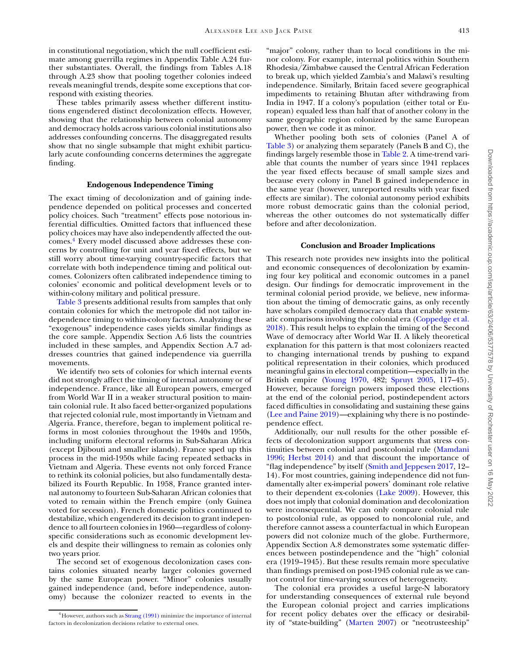in constitutional negotiation, which the null coefficient estimate among guerrilla regimes in Appendix Table A.24 further substantiates. Overall, the findings from Tables A.18 through A.23 show that pooling together colonies indeed reveals meaningful trends, despite some exceptions that correspond with existing theories.

These tables primarily assess whether different institutions engendered distinct decolonization effects. However, showing that the relationship between colonial autonomy and democracy holds across various colonial institutions also addresses confounding concerns. The disaggregated results show that no single subsample that might exhibit particularly acute confounding concerns determines the aggregate finding.

## **Endogenous Independence Timing**

The exact timing of decolonization and of gaining independence depended on political processes and concerted policy choices. Such "treatment" effects pose notorious inferential difficulties. Omitted factors that influenced these policy choices may have also independently affected the outcomes[.4](#page-7-0) Every model discussed above addresses these concerns by controlling for unit and year fixed effects, but we still worry about time-varying country-specific factors that correlate with both independence timing and political outcomes. Colonizers often calibrated independence timing to colonies' economic and political development levels or to within-colony military and political pressure.

[Table 3](#page-8-0) presents additional results from samples that only contain colonies for which the metropole did not tailor independence timing to within-colony factors. Analyzing these "exogenous" independence cases yields similar findings as the core sample. Appendix Section A.6 lists the countries included in these samples, and Appendix Section A.7 addresses countries that gained independence via guerrilla movements.

We identify two sets of colonies for which internal events did not strongly affect the timing of internal autonomy or of independence. France, like all European powers, emerged from World War II in a weaker structural position to maintain colonial rule. It also faced better-organized populations that rejected colonial rule, most importantly in Vietnam and Algeria. France, therefore, began to implement political reforms in most colonies throughout the 1940s and 1950s, including uniform electoral reforms in Sub-Saharan Africa (except Djibouti and smaller islands). France sped up this process in the mid-1950s while facing repeated setbacks in Vietnam and Algeria. These events not only forced France to rethink its colonial policies, but also fundamentally destabilized its Fourth Republic. In 1958, France granted internal autonomy to fourteen Sub-Saharan African colonies that voted to remain within the French empire (only Guinea voted for secession). French domestic politics continued to destabilize, which engendered its decision to grant independence to all fourteen colonies in 1960—regardless of colonyspecific considerations such as economic development levels and despite their willingness to remain as colonies only two years prior.

The second set of exogenous decolonization cases contains colonies situated nearby larger colonies governed by the same European power. "Minor" colonies usually gained independence (and, before independence, autonomy) because the colonizer reacted to events in the

"major" colony, rather than to local conditions in the minor colony. For example, internal politics within Southern Rhodesia/Zimbabwe caused the Central African Federation to break up, which yielded Zambia's and Malawi's resulting independence. Similarly, Britain faced severe geographical impediments to retaining Bhutan after withdrawing from India in 1947. If a colony's population (either total or European) equaled less than half that of another colony in the same geographic region colonized by the same European power, then we code it as minor.

Whether pooling both sets of colonies (Panel A of [Table 3\)](#page-8-0) or analyzing them separately (Panels B and C), the findings largely resemble those in [Table 2.](#page-5-0) A time-trend variable that counts the number of years since 1941 replaces the year fixed effects because of small sample sizes and because every colony in Panel B gained independence in the same year (however, unreported results with year fixed effects are similar). The colonial autonomy period exhibits more robust democratic gains than the colonial period, whereas the other outcomes do not systematically differ before and after decolonization.

## **Conclusion and Broader Implications**

This research note provides new insights into the political and economic consequences of decolonization by examining four key political and economic outcomes in a panel design. Our findings for democratic improvement in the terminal colonial period provide, we believe, new information about the timing of democratic gains, as only recently have scholars compiled democracy data that enable systematic comparisons involving the colonial era (Coppedge et al. [2018\). This result helps to explain the timing of the Second](#page-9-30) Wave of democracy after World War II. A likely theoretical explanation for this pattern is that most colonizers reacted to changing international trends by pushing to expand political representation in their colonies, which produced meaningful gains in electoral competition—especially in the British empire [\(Young 1970,](#page-10-11) 482; [Spruyt 2005,](#page-10-27) 117–45). However, because foreign powers imposed these elections at the end of the colonial period, postindependent actors faced difficulties in consolidating and sustaining these gains [\(Lee and Paine 2019\)](#page-9-5)—explaining why there is no postindependence effect.

Additionally, our null results for the other possible effects of decolonization support arguments that stress con[tinuities between colonial and postcolonial rule \(Mamdani](#page-10-1) 1996; [Herbst 2014\)](#page-9-6) and that discount the importance of "flag independence" by itself [\(Smith and Jeppesen 2017,](#page-10-28) 12– 14). For most countries, gaining independence did not fundamentally alter ex-imperial powers' dominant role relative to their dependent ex-colonies [\(Lake 2009\)](#page-9-18). However, this does not imply that colonial domination and decolonization were inconsequential. We can only compare colonial rule to postcolonial rule, as opposed to noncolonial rule, and therefore cannot assess a counterfactual in which European powers did not colonize much of the globe. Furthermore, Appendix Section A.8 demonstrates some systematic differences between postindependence and the "high" colonial era (1919–1945). But these results remain more speculative than findings premised on post-1945 colonial rule as we cannot control for time-varying sources of heterogeneity.

The colonial era provides a useful large-N laboratory for understanding consequences of external rule beyond the European colonial project and carries implications for recent policy debates over the efficacy or desirability of "state-building" [\(Marten 2007\)](#page-10-29) or "neotrusteeship"

<span id="page-7-0"></span><sup>&</sup>lt;sup>4</sup> However, authors such as [Strang \(1991\)](#page-10-23) minimize the importance of internal factors in decolonization decisions relative to external ones.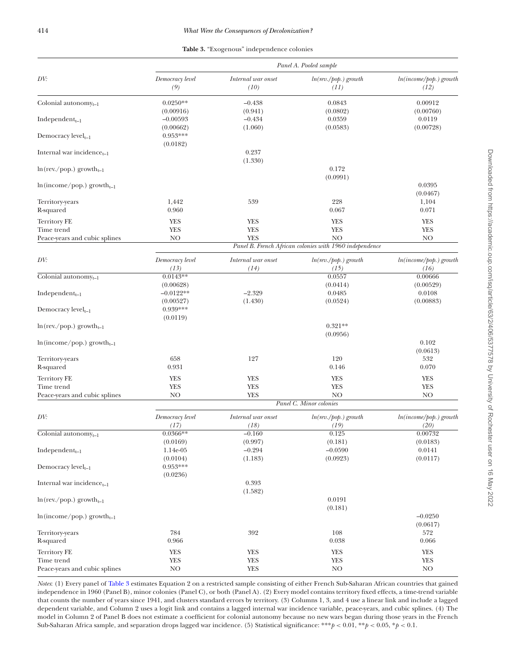| Table 3. "Exogenous" independence colonies |  |  |
|--------------------------------------------|--|--|
|--------------------------------------------|--|--|

<span id="page-8-0"></span>

|                                             | Panel A. Pooled sample             |                                                   |                                                         |                                  |  |
|---------------------------------------------|------------------------------------|---------------------------------------------------|---------------------------------------------------------|----------------------------------|--|
| DV:                                         | Democracy level<br>(9)             | Internal war onset<br>(10)                        | $ln(rev./pop.)$ growth<br>(11)                          | $ln(income/pop.)$ growth<br>(12) |  |
| Colonial autonomy $_{t-1}$                  | $0.0250**$<br>(0.00916)            | $-0.438$<br>(0.941)                               | 0.0843<br>(0.0802)                                      | 0.00912<br>(0.00760)             |  |
| Independent $_{t-1}$                        | $-0.00593$<br>(0.00662)            | $-0.434$<br>(1.060)                               | 0.0359<br>(0.0583)                                      | 0.0119<br>(0.00728)              |  |
| Democracy $level_{t-1}$                     | $0.953***$<br>(0.0182)             |                                                   |                                                         |                                  |  |
| Internal war incidence $_{t-1}$             |                                    | 0.237<br>(1.330)                                  |                                                         |                                  |  |
| $ln(rev./pop.)$ growth $_{t-1}$             |                                    |                                                   | 0.172<br>(0.0991)                                       |                                  |  |
| $ln(income/pop.)$ growth <sub>t-1</sub>     |                                    |                                                   |                                                         | 0.0395<br>(0.0467)               |  |
| Territory-years<br>R-squared                | 1,442<br>0.960                     | 539                                               | 228<br>0.067                                            | 1,104<br>0.071                   |  |
| <b>Territory FE</b><br>Time trend           | <b>YES</b><br><b>YES</b>           | <b>YES</b><br><b>YES</b>                          | <b>YES</b><br><b>YES</b>                                | <b>YES</b><br><b>YES</b>         |  |
| Peace-years and cubic splines               | NO                                 | <b>YES</b>                                        | NO                                                      | NO                               |  |
|                                             |                                    |                                                   | Panel B. French African colonies with 1960 independence |                                  |  |
| DV:                                         | Democracy level<br>(13)            | Internal war onset<br>(14)                        | $ln(rev./pop.)$ growth<br>(15)                          | $ln(income/pop.)$ growth<br>(16) |  |
| Colonial autonomy $_{t-1}$                  | $0.0143**$                         |                                                   | 0.0557                                                  | 0.00666                          |  |
| Independent $_{t-1}$                        | (0.00628)<br>$-0.0122**$           | $-2.329$                                          | (0.0414)<br>0.0485                                      | (0.00529)<br>0.0108              |  |
|                                             | (0.00527)                          | (1.430)                                           | (0.0524)                                                | (0.00883)                        |  |
| Democracy level <sub>t-1</sub>              | 0.939***<br>(0.0119)               |                                                   |                                                         |                                  |  |
| $ln(rev./pop.)$ growth <sub>t-1</sub>       |                                    |                                                   | $0.321**$<br>(0.0956)                                   |                                  |  |
| $ln(income/pop.)$ growth <sub>t-1</sub>     |                                    |                                                   |                                                         | 0.102<br>(0.0613)                |  |
| Territory-years                             | 658                                | 127                                               | 120                                                     | 532                              |  |
| R-squared                                   | 0.931                              |                                                   | 0.146                                                   | 0.070                            |  |
| <b>Territory FE</b>                         | <b>YES</b>                         | <b>YES</b>                                        | <b>YES</b>                                              | <b>YES</b>                       |  |
| Time trend                                  | <b>YES</b>                         | <b>YES</b>                                        | <b>YES</b>                                              | <b>YES</b>                       |  |
| Peace-years and cubic splines               | NO                                 | <b>YES</b><br>NO<br>NO<br>Panel C. Minor colonies |                                                         |                                  |  |
| DV:                                         | Democracy level<br>(17)            | Internal war onset<br>(18)                        | $ln(rev./pop.)$ growth<br>(19)                          | $ln(income/pop.)$ growth<br>(20) |  |
| $\overline{\text{Colonial autonomy}_{t-1}}$ | $0.0366**$                         | $-0.160$                                          | 0.125                                                   | 0.00732                          |  |
| Independent <sub><math>t-1</math></sub>     | (0.0169)<br>1.14e-05               | (0.997)<br>$-0.294$                               | (0.181)<br>$-0.0590$                                    | (0.0183)<br>0.0141               |  |
| Democracy $level_{t-1}$                     | (0.0104)<br>$0.953***$<br>(0.0236) | (1.183)                                           | (0.0923)                                                | (0.0117)                         |  |
| Internal war incidence $_{t-1}$             |                                    | 0.393<br>(1.582)                                  |                                                         |                                  |  |
| $ln(rev/pop.)$ growth <sub>t-1</sub>        |                                    |                                                   | 0.0191<br>(0.181)                                       |                                  |  |
| $ln(income/pop.)$ growth <sub>t-1</sub>     |                                    |                                                   |                                                         | $-0.0250$<br>(0.0617)            |  |
| Territory-years<br>R-squared                | 784<br>0.966                       | 392                                               | 108<br>0.038                                            | 572<br>0.066                     |  |
| Territory FE                                | <b>YES</b>                         | <b>YES</b>                                        | <b>YES</b>                                              | <b>YES</b>                       |  |
| Time trend                                  | <b>YES</b>                         | <b>YES</b>                                        | YES                                                     | YES                              |  |
| Peace-years and cubic splines               | NO                                 | <b>YES</b>                                        | NO                                                      | NO                               |  |

*Notes*: (1) Every panel of [Table 3](#page-8-0) estimates Equation 2 on a restricted sample consisting of either French Sub-Saharan African countries that gained independence in 1960 (Panel B), minor colonies (Panel C), or both (Panel A). (2) Every model contains territory fixed effects, a time-trend variable that counts the number of years since 1941, and clusters standard errors by territory. (3) Columns 1, 3, and 4 use a linear link and include a lagged dependent variable, and Column 2 uses a logit link and contains a lagged internal war incidence variable, peace-years, and cubic splines. (4) The model in Column 2 of Panel B does not estimate a coefficient for colonial autonomy because no new wars began during those years in the French Sub-Saharan Africa sample, and separation drops lagged war incidence. (5) Statistical significance: \*\*\**p* < 0.01, \*\**p* < 0.05, \**p* < 0.1.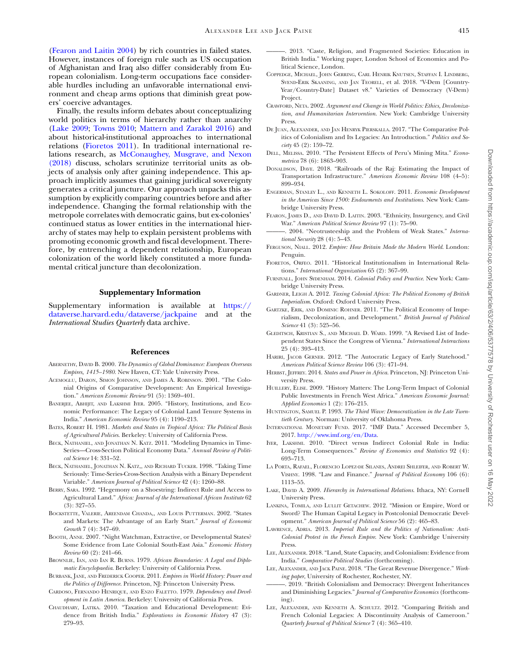[\(Fearon and Laitin 2004\)](#page-9-40) by rich countries in failed states. However, instances of foreign rule such as US occupation of Afghanistan and Iraq also differ considerably from European colonialism. Long-term occupations face considerable hurdles including an unfavorable international environment and cheap arms options that diminish great powers' coercive advantages.

Finally, the results inform debates about conceptualizing world politics in terms of hierarchy rather than anarchy [\(Lake 2009;](#page-9-18) [Towns 2010;](#page-10-30) [Mattern and Zarakol 2016\)](#page-10-15) and about historical-institutional approaches to international relations [\(Fioretos 2011\)](#page-9-41). In traditional international relations research, as McConaughey, Musgrave, and Nexon (2018) [discuss, scholars scrutinize territorial units as ob](#page-10-31)jects of analysis only after gaining independence. This approach implicitly assumes that gaining juridical sovereignty generates a critical juncture. Our approach unpacks this assumption by explicitly comparing countries before and after independence. Changing the formal relationship with the metropole correlates with democratic gains, but ex-colonies' continued status as lower entities in the international hierarchy of states may help to explain persistent problems with promoting economic growth and fiscal development. Therefore, by entrenching a dependent relationship, European colonization of the world likely constituted a more fundamental critical juncture than decolonization.

## **Supplementary Information**

[Supplementary information is available at](https://dataverse.harvard.edu/dataverse/jackpaine) https:// dataverse.harvard.edu/dataverse/jackpaine and at the *International Studies Quarterly* data archive.

## **References**

- <span id="page-9-8"></span>ABERNETHY, DAVID B. 2000. *The Dynamics of Global Dominance: European Overseas Empires, 1415–1980*. New Haven, CT: Yale University Press.
- <span id="page-9-0"></span>ACEMOGLU, DARON, SIMON JOHNSON, AND JAMES A. ROBINSON. 2001. "The Colonial Origins of Comparative Development: An Empirical Investigation." *American Economic Review* 91 (5): 1369–401.
- <span id="page-9-1"></span>BANERJEE, ABHIJIT, AND LAKSHMI IYER. 2005. "History, Institutions, and Economic Performance: The Legacy of Colonial Land Tenure Systems in India." *American Economic Review* 95 (4): 1190–213.
- <span id="page-9-16"></span>BATES, ROBERT H. 1981. *Markets and States in Tropical Africa: The Political Basis of Agricultural Policies*. Berkeley: University of California Press.
- <span id="page-9-35"></span>BECK, NATHANIEL, AND JONATHAN N. KATZ. 2011. "Modeling Dynamics in Time-Series—Cross-Section Political Economy Data." *Annual Review of Political Science* 14: 331–52.
- <span id="page-9-36"></span>BECK, NATHANIEL, JONATHAN N. KATZ,, AND RICHARD TUCKER. 1998. "Taking Time Seriously: Time-Series-Cross-Section Analysis with a Binary Dependent Variable." *American Journal of Political Science* 42 (4): 1260–88.
- <span id="page-9-24"></span>BERRY, SARA. 1992. "Hegemony on a Shoestring: Indirect Rule and Access to Agricultural Land." *Africa: Journal of the International African Institute* 62 (3): 327–55.
- <span id="page-9-27"></span>BOCKSTETTE, VALERIE, AREENDAM CHANDA,, AND LOUIS PUTTERMAN. 2002. "States and Markets: The Advantage of an Early Start." *Journal of Economic Growth* 7 (4): 347–69.
- <span id="page-9-13"></span>BOOTH, ANNE. 2007. "Night Watchman, Extractive, or Developmental States? Some Evidence from Late Colonial South-East Asia." *Economic History Review* 60 (2): 241–66.
- <span id="page-9-34"></span>BROWNLIE, IAN, AND IAN R. BURNS. 1979. *African Boundaries: A Legal and Diplomatic Encyclopaedia*. Berkeley: University of California Press.
- <span id="page-9-10"></span>BURBANK, JANE, AND FREDERICK COOPER. 2011. *Empires in World History: Power and the Politics of Difference*. Princeton, NJ: Princeton University Press.
- <span id="page-9-17"></span>CARDOSO, FERNANDO HENRIQUE, AND ENZO FALETTO. 1979. *Dependency and Development in Latin America*. Berkeley: University of California Press.
- <span id="page-9-22"></span>CHAUDHARY, LATIKA. 2010. "Taxation and Educational Development: Evidence from British India." *Explorations in Economic History* 47 (3): 279–93.
- <span id="page-9-28"></span>———. 2013. "Caste, Religion, and Fragmented Societies: Education in British India." Working paper, London School of Economics and Political Science, London.
- <span id="page-9-30"></span>COPPEDGE, MICHAEL, JOHN GERRING, CARL HENRIK KNUTSEN, STAFFAN I. LINDBERG, SVEND-ERIK SKAANING, AND JAN TEORELL, et al. 2018. "V-Dem [Country-Year/Country-Date] Dataset v8." Varieties of Democracy (V-Dem) Project.
- <span id="page-9-9"></span>CRAWFORD, NETA. 2002. *Argument and Change in World Politics: Ethics, Decolonization, and Humanitarian Intervention*. New York: Cambridge University Press.
- <span id="page-9-4"></span>DE JUAN, ALEXANDER, AND JAN HENRYK PIERSKALLA. 2017. "The Comparative Politics of Colonialism and Its Legacies: An Introduction." *Politics and Society* 45 (2): 159–72.
- <span id="page-9-20"></span>DELL, MELISSA. 2010. "The Persistent Effects of Peru's Mining Mita." *Econometrica* 78 (6): 1863–903.
- <span id="page-9-15"></span>DONALDSON, DAVE. 2018. "Railroads of the Raj: Estimating the Impact of Transportation Infrastructure." *American Economic Review* 108 (4–5): 899–934.
- <span id="page-9-2"></span>ENGERMAN, STANLEY L., AND KENNETH L. SOKOLOFF. 2011. *Economic Development in the Americas Since 1500: Endowments and Institutions*. New York: Cambridge University Press.
- <span id="page-9-29"></span>FEARON, JAMES D., AND DAVID D. LAITIN. 2003. "Ethnicity, Insurgency, and Civil War." *American Political Science Review* 97 (1): 75–90.
- <span id="page-9-40"></span>———. 2004. "Neotrusteeship and the Problem of Weak States." *International Security* 28 (4): 5–43.
- <span id="page-9-23"></span>FERGUSON, NIALL. 2012. *Empire: How Britain Made the Modern World*. London: Penguin.
- <span id="page-9-41"></span>FIORETOS, ORFEO. 2011. "Historical Institutionalism in International Relations." *International Organization* 65 (2): 367–99.
- <span id="page-9-12"></span>FURNIVALL, JOHN SYDENHAM. 2014. *Colonial Policy and Practice*. New York: Cambridge University Press.
- <span id="page-9-25"></span>GARDNER, LEIGH A. 2012. *Taxing Colonial Africa: The Political Economy of British Imperialism*. Oxford: Oxford University Press.
- <span id="page-9-11"></span>GARTZKE, ERIK, AND DOMINIC ROHNER. 2011. "The Political Economy of Imperialism, Decolonization, and Development." *British Journal of Political Science* 41 (3): 525–56.
- <span id="page-9-33"></span>GLEDITSCH, KRISTIAN S., AND MICHAEL D. WARD. 1999. "A Revised List of Independent States Since the Congress of Vienna." *International Interactions* 25 (4): 393–413.
- <span id="page-9-19"></span>HARIRI, JACOB GERNER. 2012. "The Autocratic Legacy of Early Statehood." *American Political Science Review* 106 (3): 471–94.
- <span id="page-9-6"></span>HERBST, JEFFREY. 2014. *States and Power in Africa*. Princeton, NJ: Princeton University Press.
- <span id="page-9-14"></span>HUILLERY, ELISE. 2009. "History Matters: The Long-Term Impact of Colonial Public Investments in French West Africa." *American Economic Journal: Applied Economics* 1 (2): 176–215.
- <span id="page-9-37"></span>HUNTINGTON, SAMUEL P. 1993. *The Third Wave: Democratization in the Late Twentieth Century*. Norman: University of Oklahoma Press.
- <span id="page-9-32"></span>INTERNATIONAL MONETARY FUND. 2017. "IMF Data." Accessed December 5, 2017. [http://www.imf.org/en/Data.](http://www.imf.org/en/Data)
- <span id="page-9-26"></span>IYER, LAKSHMI. 2010. "Direct versus Indirect Colonial Rule in India: Long-Term Consequences." *Review of Economics and Statistics* 92 (4): 693–713.
- <span id="page-9-21"></span>LA PORTA, RAFAEL, FLORENCIO LOPEZ-DE SILANES, ANDREI SHLEIFER, AND ROBERT W. VISHNY. 1998. "Law and Finance." *Journal of Political Economy* 106 (6): 1113–55.
- <span id="page-9-18"></span>LAKE, DAVID A. 2009. *Hierarchy in International Relations*. Ithaca, NY: Cornell University Press.
- <span id="page-9-3"></span>LANKINA, TOMILA, AND LULLIT GETACHEW. 2012. "Mission or Empire, Word or Sword? The Human Capital Legacy in Postcolonial Democratic Development." *American Journal of Political Science* 56 (2): 465–83.
- <span id="page-9-39"></span>LAWRENCE, ADRIA. 2013. *Imperial Rule and the Politics of Nationalism: Anti-Colonial Protest in the French Empire*. New York: Cambridge University Press.
- <span id="page-9-7"></span>LEE, ALEXANDER. 2018. "Land, State Capacity, and Colonialism: Evidence from India." *Comparative Political Studies* (forthcoming).
- <span id="page-9-31"></span>LEE, ALEXANDER, AND JACK PAINE. 2018. "The Great Revenue Divergence." *Working paper*, University of Rochester, Rochester, NY.
- <span id="page-9-5"></span>-. 2019. "British Colonialism and Democracy: Divergent Inheritances and Diminishing Legacies." *Journal of Comparative Economics* (forthcoming).
- <span id="page-9-38"></span>LEE, ALEXANDER, AND KENNETH A. SCHULTZ. 2012. "Comparing British and French Colonial Legacies: A Discontinuity Analysis of Cameroon." *Quarterly Journal of Political Science* 7 (4): 365–410.